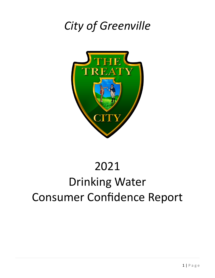## *City of Greenville*



### 2021

# Drinking Water Consumer Confidence Report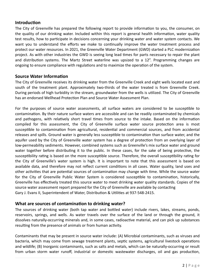#### **Introduction**

The City of Greenville has prepared the following report to provide information to you, the consumer, on the quality of our drinking water. Included within this report is general health information, water quality test results, how to participate in decisions concerning your drinking water and water system contacts. We want you to understand the efforts we make to continually improve the water treatment process and protect our water resources. In 2021, the Greenville Water Department (GWD) started a PLC modernization project. As with other industries the GWD is seeing long lead times for parts necessary to repair the plant and distribution systems. The Martz Street waterline was upsized to a 12". Programming changes are ongoing to ensure compliance with regulations and to maximize the operation of the system.

#### **Source Water Information**

The City of Greenville receives its drinking water from the Greenville Creek and eight wells located east and south of the treatment plant. Approximately two-thirds of the water treated is from Greenville Creek. During periods of high turbidity in the stream, groundwater from the wells is utilized. The City of Greenville has an endorsed Wellhead Protection Plan and Source Water Assessment Plan.

For the purposes of source water assessments, all surface waters are considered to be susceptible to contamination. By their nature surface waters are accessible and can be readily contaminated by chemicals and pathogens, with relatively short travel times from source to the intake. Based on the information compiled for this assessment, the City of Greenville surface water source protection area is most susceptible to contamination from agricultural, residential and commercial sources, and from accidental releases and spills. Ground water is generally less susceptible to contamination than surface water, and the aquifer used by the City of Greenville water system has a degree of protection from an overlying layer of low-permeability sediments. However, combined systems such as Greenville's mix surface water and ground water together before distributing it to the public. In these cases, for the sake of being protective, the susceptibility rating is based on the more susceptible source. Therefore, the overall susceptibility rating for the City of Greenville's water system is high. It is important to note that this assessment is based on available data, and therefore may not reflect current conditions in all cases. Water quality, land uses and other activities that are potential sources of contamination may change with time. While the source water for the City of Greenville Public Water System is considered susceptible to contamination, historically, Greenville has effectively treated this source water to meet drinking water quality standards. Copies of the source water assessment report prepared for the City of Greenville are available by contacting Gary J. Evans II, Superintendent of Water, Distribution & Utilities at 937-548-2415.

#### **What are sources of contamination to drinking water?**

The sources of drinking water (both tap water and bottled water) include rivers, lakes, streams, ponds, reservoirs, springs, and wells. As water travels over the surface of the land or through the ground, it dissolves naturally-occurring minerals and, in some cases, radioactive material, and can pick up substances resulting from the presence of animals or from human activity.

Contaminants that may be present in source water include: (A) Microbial contaminants, such as viruses and bacteria, which may come from sewage treatment plants, septic systems, agricultural livestock operations and wildlife; (B) Inorganic contaminants, such as salts and metals, which can be naturally-occurring or result from urban storm water runoff, industrial or domestic wastewater discharges, oil and gas production,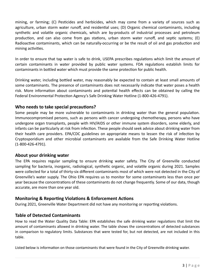mining, or farming; (C) Pesticides and herbicides, which may come from a variety of sources such as agriculture, urban storm water runoff, and residential uses; (D) Organic chemical contaminants, including synthetic and volatile organic chemicals, which are by-products of industrial processes and petroleum production, and can also come from gas stations, urban storm water runoff, and septic systems; (E) Radioactive contaminants, which can be naturally-occurring or be the result of oil and gas production and mining activities.

In order to ensure that tap water is safe to drink, USEPA prescribes regulations which limit the amount of certain contaminants in water provided by public water systems. FDA regulations establish limits for contaminants in bottled water which must provide the same protection for public health.

Drinking water, including bottled water, may reasonably be expected to contain at least small amounts of some contaminants. The presence of contaminants does not necessarily indicate that water poses a health risk. More information about contaminants and potential health effects can be obtained by calling the Federal Environmental Protection Agency's Safe Drinking Water Hotline (1-800-426-4791).

#### **Who needs to take special precautions?**

Some people may be more vulnerable to contaminants in drinking water than the general population. Immunocompromised persons, such as persons with cancer undergoing chemotherapy, persons who have undergone organ transplants, people with HIV/AIDS or other immune system disorders, some elderly, and infants can be particularly at risk from infection. These people should seek advice about drinking water from their health care providers. EPA/CDC guidelines on appropriate means to lessen the risk of infection by Cryptosporidium and other microbial contaminants are available from the Safe Drinking Water Hotline (1-800-426-4791).

#### **About your drinking water**

The EPA requires regular sampling to ensure drinking water safety. The City of Greenville conducted sampling for bacteria, inorganic, radiological, synthetic organic, and volatile organic during 2021. Samples were collected for a total of thirty-six different contaminants most of which were not detected in the City of Greenville's water supply. The Ohio EPA requires us to monitor for some contaminants less than once per year because the concentrations of these contaminants do not change frequently. Some of our data, though accurate, are more than one year old.

#### **Monitoring & Reporting Violations & Enforcement Actions**

During 2021, Greenville Water Department did not have any monitoring or reporting violations.

#### **Table of Detected Contaminants**

How to read the Water Quality Data Table: EPA establishes the safe drinking water regulations that limit the amount of contaminants allowed in drinking water. The table shows the concentrations of detected substances in comparison to regulatory limits. Substances that were tested for, but not detected, are not included in this table.

Listed below is information on those contaminants that were found in the City of Greenville drinking water.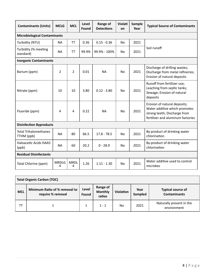| <b>Contaminants (Units)</b>                | <b>MCLG</b>       | <b>MCL</b>       | Level<br>Found | Range of<br><b>Detections</b> | Violati<br>on | Sample<br>Year | <b>Typical Source of Contaminants</b>                                                                                              |  |
|--------------------------------------------|-------------------|------------------|----------------|-------------------------------|---------------|----------------|------------------------------------------------------------------------------------------------------------------------------------|--|
| <b>Microbiological Contaminants</b>        |                   |                  |                |                               |               |                |                                                                                                                                    |  |
| Turbidity (NTU)                            | <b>NA</b>         | <b>TT</b>        | 0.36           | $0.15 - 0.36$                 | No            | 2021           | Soil runoff                                                                                                                        |  |
| Turbidity (% meeting<br>standard)          | <b>NA</b>         | <b>TT</b>        | 99.9%          | 99.9% - 100%                  | <b>No</b>     | 2021           |                                                                                                                                    |  |
| <b>Inorganic Contaminants</b>              |                   |                  |                |                               |               |                |                                                                                                                                    |  |
| Barium (ppm)                               | $\overline{2}$    | $\overline{2}$   | 0.01           | <b>NA</b>                     | No            | 2021           | Discharge of drilling wastes;<br>Discharge from metal refineries;<br>Erosion of natural deposits                                   |  |
| Nitrate (ppm)                              | 10                | 10               | 3.80           | $0.12 - 3.80$                 | No            | 2021           | Runoff from fertilizer use;<br>Leaching from septic tanks;<br>Sewage; Erosion of natural<br>deposits                               |  |
| Fluoride (ppm)                             | 4                 | 4                | 0.22           | <b>NA</b>                     | No            | 2021           | Erosion of natural deposits;<br>Water additive which promotes<br>strong teeth; Discharge from<br>fertilizer and aluminum factories |  |
| <b>Disinfection Byproducts</b>             |                   |                  |                |                               |               |                |                                                                                                                                    |  |
| <b>Total Trihalomethanes</b><br>TTHM (ppb) | <b>NA</b>         | 80               | 66.5           | $17.8 - 78.5$                 | <b>No</b>     | 2021           | By-product of drinking water<br>chlorination                                                                                       |  |
| Haloacetic Acids HAA5<br>(ppb)             | <b>NA</b>         | 60               | 20.2           | $0 - 28.9$                    | No            | 2021           | By-product of drinking water<br>chlorination                                                                                       |  |
| <b>Residual Disinfectants</b>              |                   |                  |                |                               |               |                |                                                                                                                                    |  |
| Total Chlorine (ppm)                       | <b>MRDLG</b><br>4 | <b>MRDL</b><br>4 | 1.26           | $1.11 - 1.30$                 | <b>No</b>     | 2021           | Water additive used to control<br>microbes                                                                                         |  |

| <b>Total Organic Carbon (TOC)</b> |                                                    |                |                                      |                  |                 |                                                 |
|-----------------------------------|----------------------------------------------------|----------------|--------------------------------------|------------------|-----------------|-------------------------------------------------|
| <b>MCL</b>                        | Minimum Ratio of % removal to<br>require % removal | Level<br>Found | Range of<br><b>Monthly</b><br>ratios | <b>Violation</b> | Year<br>Sampled | <b>Typical source of</b><br><b>Contaminants</b> |
| TТ                                |                                                    |                | $1 - 1$                              | No               | 2021            | Naturally present in the<br>environment         |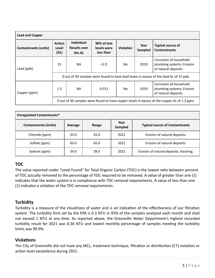| <b>Lead and Copper</b>      |                                                                                             |                                                    |                                         |                  |                 |                                                                            |  |
|-----------------------------|---------------------------------------------------------------------------------------------|----------------------------------------------------|-----------------------------------------|------------------|-----------------|----------------------------------------------------------------------------|--|
| <b>Contaminants (units)</b> | <b>Action</b><br>Level<br>(AL)                                                              | <b>Individual</b><br><b>Results over</b><br>the AL | 90% of test<br>levels were<br>less than | <b>Violation</b> | Year<br>Sampled | <b>Typical source of</b><br><b>Contaminants</b>                            |  |
| Lead (ppb)                  | 15<br><b>NA</b>                                                                             |                                                    | 2.0                                     | No.              | 2019            | Corrosion of household<br>plumbing systems; Erosion<br>of natural deposits |  |
|                             | 0 out of 30 samples were found to have lead levels in excess of the lead AL of 15 ppb.      |                                                    |                                         |                  |                 |                                                                            |  |
| Copper (ppm)                | 1.3                                                                                         | <b>NA</b>                                          | 0.013                                   | No.              | 2019            | Corrosion of household<br>plumbing systems; Erosion<br>of natural deposits |  |
|                             | 0 out of 30 samples were found to have copper levels in excess of the copper AL of 1.3 ppm. |                                                    |                                         |                  |                 |                                                                            |  |

| Unregulated Contaminants*   |         |       |                 |                                        |  |  |
|-----------------------------|---------|-------|-----------------|----------------------------------------|--|--|
| <b>Contaminants (Units)</b> | Average | Range | Year<br>Sampled | <b>Typical source of Contaminants</b>  |  |  |
| Chloride (ppm)              | 35.0    | 35.0  | 2021            | Erosion of natural deposits.           |  |  |
| Sulfate (ppm)               | 65.0    | 65.0  | 2021            | Erosion of natural deposits.           |  |  |
| Sodium (ppm)                | 39.0    | 39.0  | 2021            | Erosion of natural deposits; leaching. |  |  |

#### **TOC**

The value reported under "Level Found" for Total Organic Carbon (TOC) is the lowest ratio between percent of TOC actually removed to the percentage of TOC required to be removed. A value of greater than one (1) indicates that the water system is in compliance with TOC removal requirements. A value of less than one (1) indicates a violation of the TOC removal requirements.

#### **Turbidity**

Turbidity is a measure of the cloudiness of water and is an indication of the effectiveness of our filtration system. The turbidity limit set by the EPA is 0.3 NTU in 95% of the samples analyzed each month and shall not exceed 1 NTU at any time. As reported above, the Greenville Water Department's highest recorded turbidity result for 2021 was 0.36 NTU and lowest monthly percentage of samples meeting the turbidity limits was 99.9%.

#### **Violations**

The City of Greenville did not have any MCL, treatment technique, filtration or disinfection (CT) violation or action level exceedance during 2021.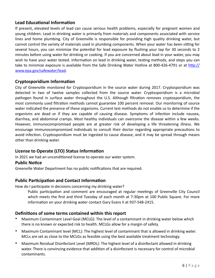#### **Lead Educational Information**

If present, elevated levels of lead can cause serious health problems, especially for pregnant women and young children. Lead in drinking water is primarily from materials and components associated with service lines and home plumbing. City of Greenville is responsible for providing high quality drinking water, but cannot control the variety of materials used in plumbing components. When your water has been sitting for several hours, you can minimize the potential for lead exposure by flushing your tap for 30 seconds to 2 minutes before using water for drinking or cooking. If you are concerned about lead in your water, you may wish to have your water tested. Information on lead in drinking water, testing methods, and steps you can take to minimize exposure is available from the Safe Drinking Water Hotline at 800-426-4791 or at http:// [www.epa.gov/safewater/lead](http://www.epa.gov/safewater/lead).

#### **Cryptosporidium Information**

City of Greenville monitored for Cryptosporidium in the source water during 2017. Cryptosporidium was detected in two of twelve samples collected from the source water. Cryptosporidium is a microbial pathogen found in surface water throughout the U.S. Although filtration removes cryptosporidium, the most commonly used filtration methods cannot guarantee 100 percent removal. Our monitoring of source water indicated the presence of these organisms. Current test methods do not enable us to determine if the organisms are dead or if they are capable of causing disease. Symptoms of infection include nausea, diarrhea, and abdominal cramps. Most healthy individuals can overcome the disease within a few weeks. However, immunocompromised people are at greater risk of developing a life threatening illness. We encourage immunocompromised individuals to consult their doctor regarding appropriate precautions to avoid infection. Cryptosporidium must be ingested to cause disease, and it may be spread through means other than drinking water.

#### **License to Operate (LTO) Status Information**

In 2021 we had an unconditioned license to operate our water system.

#### **Public Notice**

Greenville Water Department has no public notifications that are required.

#### **Public Participation and Contact Information**

How do I participate in decisions concerning my drinking water?

Public participation and comment are encouraged at regular meetings of Greenville City Council which meets the first and third Tuesday of each month at 7:30pm at 100 Public Square. For more information on your drinking water contact Gary Evans II at 937-548-2415.

#### **Definitions of some terms contained within this report**

- Maximum Contaminant Level Goal (MCLG): The level of a contaminant in drinking water below which there is no known or expected risk to health. MCLGs allow for a margin of safety.
- Maximum Contaminant level (MCL): The highest level of contaminant that is allowed in drinking water. MCLs are set as close to the MCLGs as feasible using the best available treatment technology.
- Maximum Residual Disinfectant Level (MRDL): The highest level of a disinfectant allowed in drinking water. There is convincing evidence that addition of a disinfectant is necessary for control of microbial contaminants.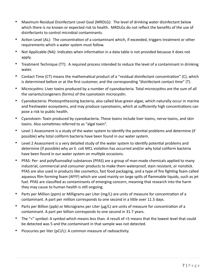- Maximum Residual Disinfectant Level Goal (MRDLG): The level of drinking water disinfectant below which there is no known or expected risk to health. MRDLGs do not reflect the benefits of the use of disinfectants to control microbial contaminants.
- Action Level (AL): The concentration of a contaminant which, if exceeded, triggers treatment or other requirements which a water system must follow.
- Not Applicable (NA): Indicates when information in a data table is not provided because it does not apply.
- Treatment Technique (TT): A required process intended to reduce the level of a contaminant in drinking water.
- Contact Time (CT) means the mathematical product of a "residual disinfectant concentration" (C), which is determined before or at the first customer, and the corresponding "disinfectant contact time" (T).
- Microcystins: Liver toxins produced by a number of cyanobacteria. Total microcystins are the sum of all the variants/congeners (forms) of the cyanotoxin microcystin.
- Cyanobacteria: Photosynthesizing bacteria, also called blue-green algae, which naturally occur in marine and freshwater ecosystems, and may produce cyanotoxins, which at sufficiently high concentrations can pose a risk to public health.
- Cyanotoxin: Toxin produced by cyanobacteria. These toxins include liver toxins, nerve toxins, and skin toxins. Also sometimes referred to as "algal toxin".
- Level 1 Assessment is a study of the water system to identify the potential problems and determine (if possible) why total coliform bacteria have been found in our water system.
- Level 2 Assessment is a very detailed study of the water system to identify potential problems and determine (if possible) why an E. coli MCL violation has occurred and/or why total coliform bacteria have been found in our water system on multiple occasions.
- PFAS: Per- and polyfluoroalkyl substances (PFAS) are a group of man-made chemicals applied to many industrial, commercial and consumer products to make them waterproof, stain resistant, or nonstick. PFAS are also used in products like cosmetics, fast food packaging, and a type of fire fighting foam called aqueous film forming foam (AFFF) which are used mainly on large spills of flammable liquids, such as jet fuel. PFAS are classified as contaminants of emerging concern, meaning that research into the harm they may cause to human health is still ongoing.
- Parts per Million (ppm) or Milligrams per Liter (mg/L) are units of measure for concentration of a contaminant. A part per million corresponds to one second in a little over 11.5 days.
- Parts per Billion (ppb) or Micrograms per Liter ( $\mu$ g/L) are units of measure for concentration of a contaminant. A part per billion corresponds to one second in 31.7 years.
- The "<" symbol: A symbol which means less than. A result of <5 means that the lowest level that could be detected was 5 and the contaminant in that sample was not detected.
- Picocuries per liter ( $pCi/L$ ): A common measure of radioactivity.